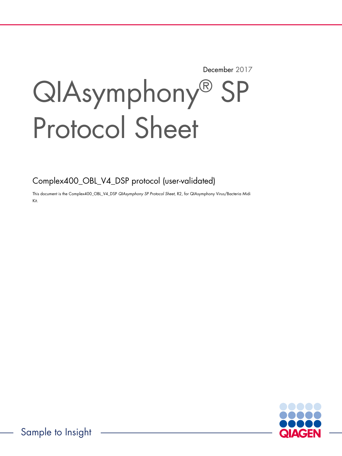December 2017

# QIAsymphony® SP Protocol Sheet

Complex400\_OBL\_V4\_DSP protocol (user-validated)

This document is the Complex400\_OBL\_V4\_DSP QIAsymphony SP Protocol Sheet, R2, for QIAsymphony Virus/Bacteria Midi Kit.

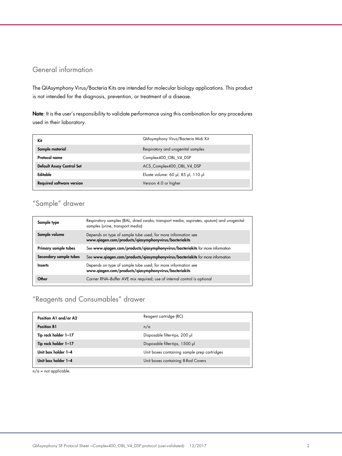# General information

The QIAsymphony Virus/Bacteria Kits are intended for molecular biology applications. This product is not intended for the diagnosis, prevention, or treatment of a disease.

Note: It is the user's responsibility to validate performance using this combination for any procedures used in their laboratory.

| Kit                              | QIAsymphony Virus/Bacteria Midi Kit |
|----------------------------------|-------------------------------------|
| Sample material                  | Respiratory and urogenital samples  |
| Protocol name                    | Complex400 OBL V4 DSP               |
| Default Assay Control Set        | ACS_Complex400_OBL_V4_DSP           |
| Editable                         | Eluate volume: 60 µl, 85 µl, 110 µl |
| <b>Required software version</b> | Version 4.0 or higher               |

# "Sample" drawer

| Sample type            | Respiratory samples (BAL, dried swabs, transport media, aspirates, sputum) and urogenital<br>samples (urine, transport media) |
|------------------------|-------------------------------------------------------------------------------------------------------------------------------|
| Sample volume          | Depends on type of sample tube used; for more information see<br>www.qiagen.com/products/qiasymphonyvirus/bacteriakits        |
| Primary sample tubes   | See www.qiagen.com/products/qiasymphonyvirus/bacteriakits for more information                                                |
| Secondary sample tubes | See www.qiagen.com/products/qiasymphonyvirus/bacteriakits for more information                                                |
| <b>Inserts</b>         | Depends on type of sample tube used; for more information see<br>www.qiagen.com/products/qiasymphonyvirus/bacteriakits        |
| Other                  | Carrier RNA-Buffer AVE mix required; use of internal control is optional                                                      |

# "Reagents and Consumables" drawer

| Position A1 and/or A2 | Reagent cartridge (RC)                       |
|-----------------------|----------------------------------------------|
| <b>Position B1</b>    | n/a                                          |
| Tip rack holder 1-17  | Disposable filter-tips, 200 µl               |
| Tip rack holder 1-17  | Disposable filter-tips, 1500 µl              |
| Unit box holder 1-4   | Unit boxes containing sample prep cartridges |
| Unit box holder 1-4   | Unit boxes containing 8-Rod Covers           |

 $n/a$  = not applicable.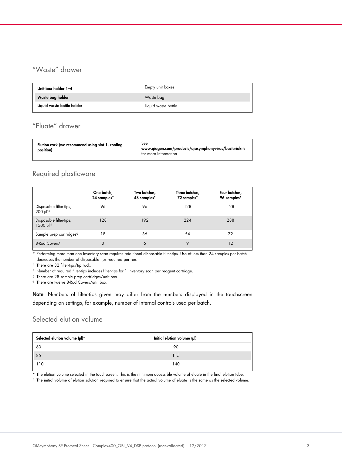# "Waste" drawer

| Unit box holder 1-4        | Empty unit boxes    |
|----------------------------|---------------------|
| Waste bag holder           | Waste bag           |
| Liquid waste bottle holder | Liquid waste bottle |

# "Eluate" drawer

| See<br>Elution rack (we recommend using slot 1, cooling<br>www.qiagen.com/products/qiasymphonyvirus/bacteriakits<br>position)<br>for more information |
|-------------------------------------------------------------------------------------------------------------------------------------------------------|
|                                                                                                                                                       |

## Required plasticware

|                                                                | One batch,<br>24 samples* | Two batches,<br>48 samples* | Three batches,<br>72 samples* | Four batches,<br>96 samples* |
|----------------------------------------------------------------|---------------------------|-----------------------------|-------------------------------|------------------------------|
| Disposable filter-tips,<br>$200 \text{ pl}^{\dagger \ddagger}$ | 96                        | 96                          | 128                           | 128                          |
| Disposable filter-tips,<br>1500 µ  <sup>†‡</sup>               | 128                       | 192                         | 224                           | 288                          |
| Sample prep cartridges <sup>§</sup>                            | 18                        | 36                          | 54                            | 72                           |
| 8-Rod Covers <sup>1</sup>                                      | 3                         | 6                           | 9                             | 12                           |

\* Performing more than one inventory scan requires additional disposable filter-tips. Use of less than 24 samples per batch decreases the number of disposable tips required per run.

† There are 32 filter-tips/tip rack.

‡ Number of required filter-tips includes filter-tips for 1 inventory scan per reagent cartridge.

§ There are 28 sample prep cartridges/unit box.

¶ There are twelve 8-Rod Covers/unit box.

Note: Numbers of filter-tips given may differ from the numbers displayed in the touchscreen depending on settings, for example, number of internal controls used per batch.

## Selected elution volume

| Selected elution volume (µl)* | Initial elution volume $(\mu I)^{\dagger}$ |  |
|-------------------------------|--------------------------------------------|--|
| 60                            | 90                                         |  |
| 85                            | 115                                        |  |
| 110                           | 140                                        |  |

\* The elution volume selected in the touchscreen. This is the minimum accessible volume of eluate in the final elution tube.

† The initial volume of elution solution required to ensure that the actual volume of eluate is the same as the selected volume.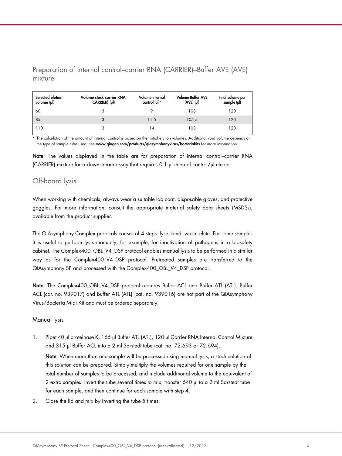Preparation of internal control–carrier RNA (CARRIER)–Buffer AVE (AVE) mixture

| Selected elution<br>volume (µl) | Volume stock carrier RNA<br>(CARRIER) (µl) | Volume internal<br>control (µl)* | <b>Volume Buffer AVE</b><br>$(AVE)$ $(µ)$ | Final volume per<br>sample (µl) |
|---------------------------------|--------------------------------------------|----------------------------------|-------------------------------------------|---------------------------------|
| 60                              |                                            |                                  | 108                                       | 120                             |
| 85                              | 3                                          | 11.5                             | 105.5                                     | 120                             |
| 110                             |                                            |                                  | 103                                       | 120                             |

\* The calculation of the amount of internal control is based on the initial elution volumes. Additional void volume depends on the type of sample tube used; see www.qiagen.com/products/qiasymphonyvirus/bacteriakits for more information.

Note: The values displayed in the table are for preparation of internal control–carrier RNA (CARRIER) mixture for a downstream assay that requires 0.1 µl internal control/µl eluate.

## Off-board lysis

When working with chemicals, always wear a suitable lab coat, disposable gloves, and protective goggles. For more information, consult the appropriate material safety data sheets (MSDSs), available from the product supplier.

The QIAsymphony Complex protocols consist of 4 steps: lyse, bind, wash, elute. For some samples it is useful to perform lysis manually, for example, for inactivation of pathogens in a biosafety cabinet. The Complex400\_OBL\_V4\_DSP protocol enables manual lysis to be performed in a similar way as for the Complex400\_V4\_DSP protocol. Pretreated samples are transferred to the QIAsymphony SP and processed with the Complex400\_OBL\_V4\_DSP protocol.

Note: The Complex400\_OBL\_V4\_DSP protocol requires Buffer ACL and Buffer ATL (ATL). Buffer ACL (cat. no. 939017) and Buffer ATL (ATL) (cat. no. 939016) are not part of the QIAsymphony Virus/Bacteria Midi Kit and must be ordered separately.

## Manual lysis

1. Pipet 40 µl proteinase K, 165 µl Buffer ATL (ATL), 120 µl Carrier RNA Internal Control Mixture and 315 µl Buffer ACL into a 2 ml Sarstedt tube (cat. no. 72.693 or 72.694).

Note: When more than one sample will be processed using manual lysis, a stock solution of this solution can be prepared. Simply multiply the volumes required for one sample by the total number of samples to be processed, and include additional volume to the equivalent of 2 extra samples. Invert the tube several times to mix, transfer 640 µl to a 2 ml Sarstedt tube for each sample, and then continue for each sample with step 4.

2. Close the lid and mix by inverting the tube 5 times.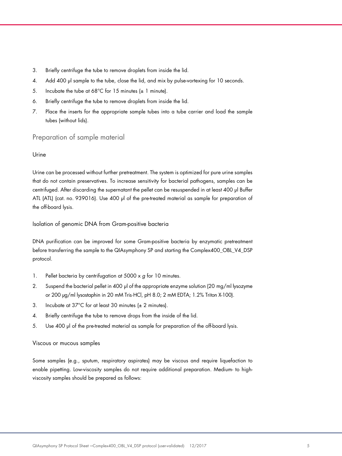- 3. Briefly centrifuge the tube to remove droplets from inside the lid.
- 4. Add 400 µl sample to the tube, close the lid, and mix by pulse-vortexing for 10 seconds.
- 5. Incubate the tube at 68°C for 15 minutes  $(\pm 1 \text{ minute})$ .
- 6. Briefly centrifuge the tube to remove droplets from inside the lid.
- 7. Place the inserts for the appropriate sample tubes into a tube carrier and load the sample tubes (without lids).

## Preparation of sample material

#### Urine

Urine can be processed without further pretreatment. The system is optimized for pure urine samples that do not contain preservatives. To increase sensitivity for bacterial pathogens, samples can be centrifuged. After discarding the supernatant the pellet can be resuspended in at least 400 µl Buffer ATL (ATL) (cat. no. 939016). Use 400 µl of the pre-treated material as sample for preparation of the off-board lysis.

Isolation of genomic DNA from Gram-positive bacteria

DNA purification can be improved for some Gram-positive bacteria by enzymatic pretreatment before transferring the sample to the QIAsymphony SP and starting the Complex400\_OBL\_V4\_DSP protocol.

- 1. Pellet bacteria by centrifugation at  $5000 \times g$  for 10 minutes.
- 2. Suspend the bacterial pellet in 400 µ of the appropriate enzyme solution (20 mg/ml lysozyme or 200 µg/ml lysostaphin in 20 mM Tris·HCl, pH 8.0; 2 mM EDTA; 1.2% Triton X-100).
- 3. Incubate at 37°C for at least 30 minutes  $(\pm 2 \text{ minutes})$ .
- 4. Briefly centrifuge the tube to remove drops from the inside of the lid.
- 5. Use 400 µl of the pre-treated material as sample for preparation of the off-board lysis.

#### Viscous or mucous samples

Some samples (e.g., sputum, respiratory aspirates) may be viscous and require liquefaction to enable pipetting. Low-viscosity samples do not require additional preparation. Medium- to highviscosity samples should be prepared as follows: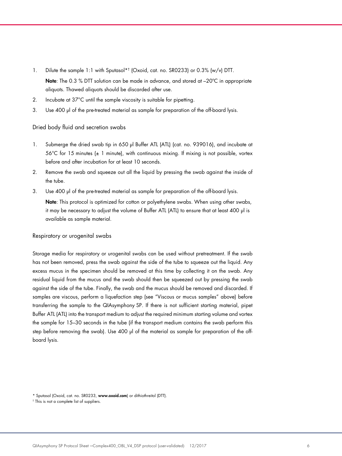- 1. Dilute the sample 1:1 with Sputasol\*† (Oxoid, cat. no. SR0233) or 0.3% (w/v) DTT. Note: The 0.3 % DTT solution can be made in advance, and stored at -20°C in appropriate aliquots. Thawed aliquots should be discarded after use.
- 2. Incubate at 37°C until the sample viscosity is suitable for pipetting.
- 3. Use 400 µl of the pre-treated material as sample for preparation of the off-board lysis.

### Dried body fluid and secretion swabs

- 1. Submerge the dried swab tip in 650 µl Buffer ATL (ATL) (cat. no. 939016), and incubate at  $56^{\circ}$ C for 15 minutes ( $\pm$  1 minute), with continuous mixing. If mixing is not possible, vortex before and after incubation for at least 10 seconds.
- 2. Remove the swab and squeeze out all the liquid by pressing the swab against the inside of the tube.
- 3. Use 400 µl of the pre-treated material as sample for preparation of the off-board lysis.

Note: This protocol is optimized for cotton or polyethylene swabs. When using other swabs, it may be necessary to adjust the volume of Buffer ATL (ATL) to ensure that at least 400 µl is available as sample material.

#### Respiratory or urogenital swabs

Storage media for respiratory or urogenital swabs can be used without pretreatment. If the swab has not been removed, press the swab against the side of the tube to squeeze out the liquid. Any excess mucus in the specimen should be removed at this time by collecting it on the swab. Any residual liquid from the mucus and the swab should then be squeezed out by pressing the swab against the side of the tube. Finally, the swab and the mucus should be removed and discarded. If samples are viscous, perform a liquefaction step (see "Viscous or mucus samples" above) before transferring the sample to the QIAsymphony SP. If there is not sufficient starting material, pipet Buffer ATL (ATL) into the transport medium to adjust the required minimum starting volume and vortex the sample for 15–30 seconds in the tube (if the transport medium contains the swab perform this step before removing the swab). Use 400 µ of the material as sample for preparation of the offboard lysis.

<sup>\*</sup> Sputasol (Oxoid, cat. no. SR0233, www.oxoid.com) or dithiothreitol (DTT).

<sup>†</sup> This is not a complete list of suppliers.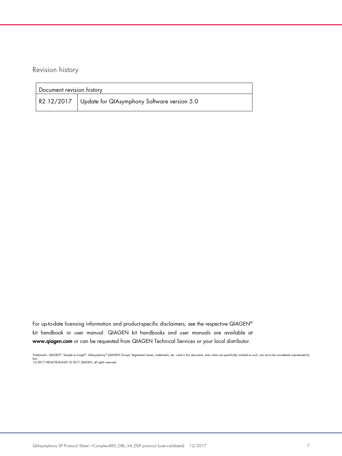Revision history

| Document revision history |                                                          |  |
|---------------------------|----------------------------------------------------------|--|
|                           | R2 12/2017   Update for QIAsymphony Software version 5.0 |  |

For up-to-date licensing information and product-specific disclaimers, see the respective QIAGEN® kit handbook or user manual. QIAGEN kit handbooks and user manuals are available at www.qiagen.com or can be requested from QIAGEN Technical Services or your local distributor.

Trademarks: QIAGEN®, Sample to Insight®, QIAsymphony® (QIAGEN Group). Registered names, trademarks, etc. used in this document, even when not specifically marked as such, are not to be considered unprotected by law. 12/2017 HB-0678-S04-001 © 2017 QIAGEN, all rights reserved.